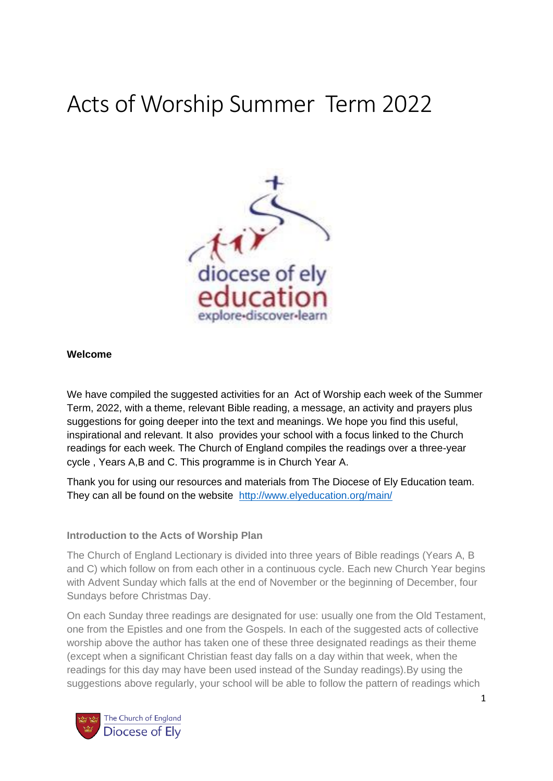# Acts of Worship Summer Term 2022



## **Welcome**

We have compiled the suggested activities for an Act of Worship each week of the Summer Term, 2022, with a theme, relevant Bible reading, a message, an activity and prayers plus suggestions for going deeper into the text and meanings. We hope you find this useful, inspirational and relevant. It also provides your school with a focus linked to the Church readings for each week. The Church of England compiles the readings over a three-year cycle , Years A,B and C. This programme is in Church Year A.

Thank you for using our resources and materials from The Diocese of Ely Education team. They can all be found on the website <http://www.elyeducation.org/main/>

## **Introduction to the Acts of Worship Plan**

The Church of England Lectionary is divided into three years of Bible readings (Years A, B and C) which follow on from each other in a continuous cycle. Each new Church Year begins with Advent Sunday which falls at the end of November or the beginning of December, four Sundays before Christmas Day.

On each Sunday three readings are designated for use: usually one from the Old Testament, one from the Epistles and one from the Gospels. In each of the suggested acts of collective worship above the author has taken one of these three designated readings as their theme (except when a significant Christian feast day falls on a day within that week, when the readings for this day may have been used instead of the Sunday readings).By using the suggestions above regularly, your school will be able to follow the pattern of readings which

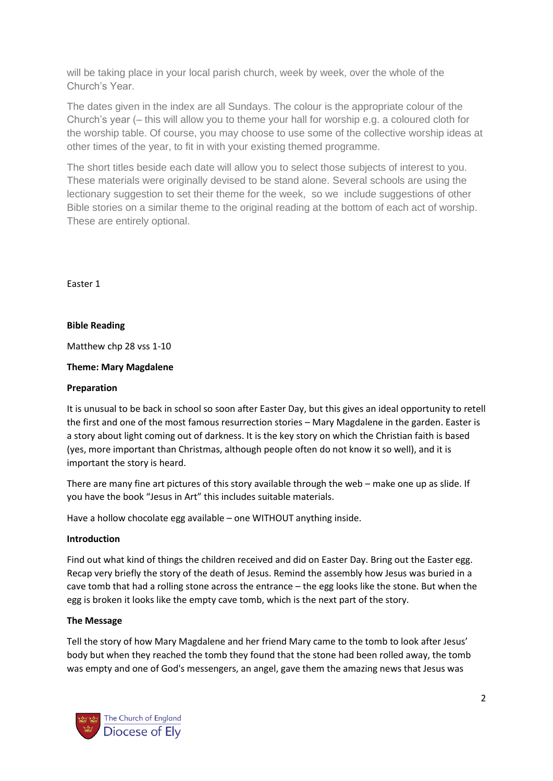will be taking place in your local parish church, week by week, over the whole of the Church's Year.

The dates given in the index are all Sundays. The colour is the appropriate colour of the Church's year (– this will allow you to theme your hall for worship e.g. a coloured cloth for the worship table. Of course, you may choose to use some of the collective worship ideas at other times of the year, to fit in with your existing themed programme.

The short titles beside each date will allow you to select those subjects of interest to you. These materials were originally devised to be stand alone. Several schools are using the lectionary suggestion to set their theme for the week, so we include suggestions of other Bible stories on a similar theme to the original reading at the bottom of each act of worship. These are entirely optional.

Easter 1

## **Bible Reading**

Matthew chp 28 vss 1-10

#### **Theme: Mary Magdalene**

#### **Preparation**

It is unusual to be back in school so soon after Easter Day, but this gives an ideal opportunity to retell the first and one of the most famous resurrection stories – Mary Magdalene in the garden. Easter is a story about light coming out of darkness. It is the key story on which the Christian faith is based (yes, more important than Christmas, although people often do not know it so well), and it is important the story is heard.

There are many fine art pictures of this story available through the web – make one up as slide. If you have the book "Jesus in Art" this includes suitable materials.

Have a hollow chocolate egg available – one WITHOUT anything inside.

#### **Introduction**

Find out what kind of things the children received and did on Easter Day. Bring out the Easter egg. Recap very briefly the story of the death of Jesus. Remind the assembly how Jesus was buried in a cave tomb that had a rolling stone across the entrance – the egg looks like the stone. But when the egg is broken it looks like the empty cave tomb, which is the next part of the story.

#### **The Message**

Tell the story of how Mary Magdalene and her friend Mary came to the tomb to look after Jesus' body but when they reached the tomb they found that the stone had been rolled away, the tomb was empty and one of God's messengers, an angel, gave them the amazing news that Jesus was

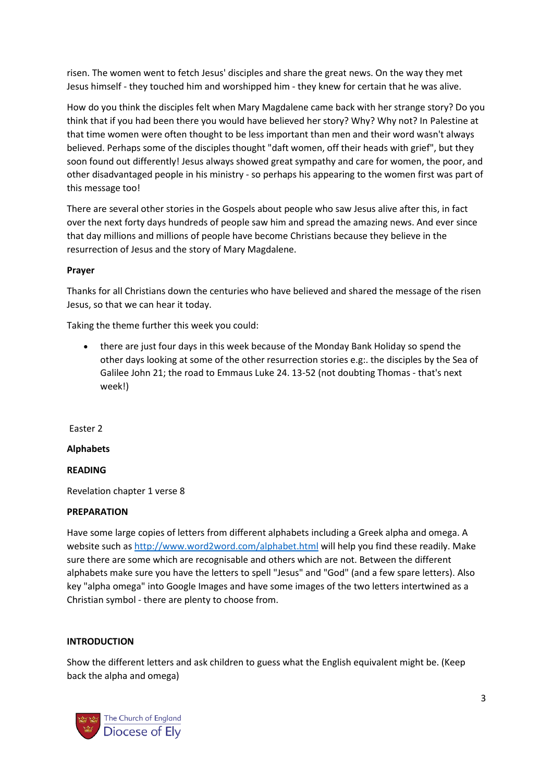risen. The women went to fetch Jesus' disciples and share the great news. On the way they met Jesus himself - they touched him and worshipped him - they knew for certain that he was alive.

How do you think the disciples felt when Mary Magdalene came back with her strange story? Do you think that if you had been there you would have believed her story? Why? Why not? In Palestine at that time women were often thought to be less important than men and their word wasn't always believed. Perhaps some of the disciples thought "daft women, off their heads with grief", but they soon found out differently! Jesus always showed great sympathy and care for women, the poor, and other disadvantaged people in his ministry - so perhaps his appearing to the women first was part of this message too!

There are several other stories in the Gospels about people who saw Jesus alive after this, in fact over the next forty days hundreds of people saw him and spread the amazing news. And ever since that day millions and millions of people have become Christians because they believe in the resurrection of Jesus and the story of Mary Magdalene.

# **Prayer**

Thanks for all Christians down the centuries who have believed and shared the message of the risen Jesus, so that we can hear it today.

Taking the theme further this week you could:

• there are just four days in this week because of the Monday Bank Holiday so spend the other days looking at some of the other resurrection stories e.g:. the disciples by the Sea of Galilee John 21; the road to Emmaus Luke 24. 13-52 (not doubting Thomas - that's next week!)

Easter 2

## **Alphabets**

## **READING**

Revelation chapter 1 verse 8

## **PREPARATION**

Have some large copies of letters from different alphabets including a Greek alpha and omega. A website such as <http://www.word2word.com/alphabet.html> will help you find these readily. Make sure there are some which are recognisable and others which are not. Between the different alphabets make sure you have the letters to spell "Jesus" and "God" (and a few spare letters). Also key "alpha omega" into Google Images and have some images of the two letters intertwined as a Christian symbol - there are plenty to choose from.

## **INTRODUCTION**

Show the different letters and ask children to guess what the English equivalent might be. (Keep back the alpha and omega)

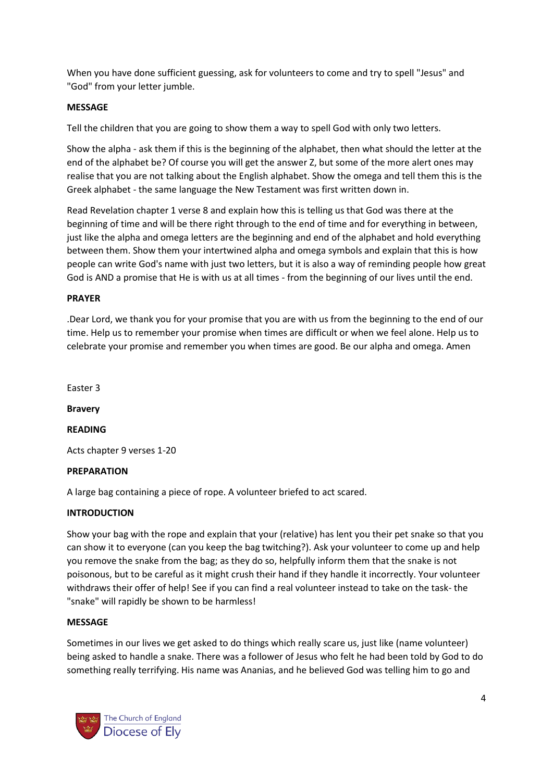When you have done sufficient guessing, ask for volunteers to come and try to spell "Jesus" and "God" from your letter jumble.

# **MESSAGE**

Tell the children that you are going to show them a way to spell God with only two letters.

Show the alpha - ask them if this is the beginning of the alphabet, then what should the letter at the end of the alphabet be? Of course you will get the answer Z, but some of the more alert ones may realise that you are not talking about the English alphabet. Show the omega and tell them this is the Greek alphabet - the same language the New Testament was first written down in.

Read Revelation chapter 1 verse 8 and explain how this is telling us that God was there at the beginning of time and will be there right through to the end of time and for everything in between, just like the alpha and omega letters are the beginning and end of the alphabet and hold everything between them. Show them your intertwined alpha and omega symbols and explain that this is how people can write God's name with just two letters, but it is also a way of reminding people how great God is AND a promise that He is with us at all times - from the beginning of our lives until the end.

## **PRAYER**

.Dear Lord, we thank you for your promise that you are with us from the beginning to the end of our time. Help us to remember your promise when times are difficult or when we feel alone. Help us to celebrate your promise and remember you when times are good. Be our alpha and omega. Amen

Easter 3

**Bravery**

**READING**

Acts chapter 9 verses 1-20

## **PREPARATION**

A large bag containing a piece of rope. A volunteer briefed to act scared.

## **INTRODUCTION**

Show your bag with the rope and explain that your (relative) has lent you their pet snake so that you can show it to everyone (can you keep the bag twitching?). Ask your volunteer to come up and help you remove the snake from the bag; as they do so, helpfully inform them that the snake is not poisonous, but to be careful as it might crush their hand if they handle it incorrectly. Your volunteer withdraws their offer of help! See if you can find a real volunteer instead to take on the task- the "snake" will rapidly be shown to be harmless!

## **MESSAGE**

Sometimes in our lives we get asked to do things which really scare us, just like (name volunteer) being asked to handle a snake. There was a follower of Jesus who felt he had been told by God to do something really terrifying. His name was Ananias, and he believed God was telling him to go and

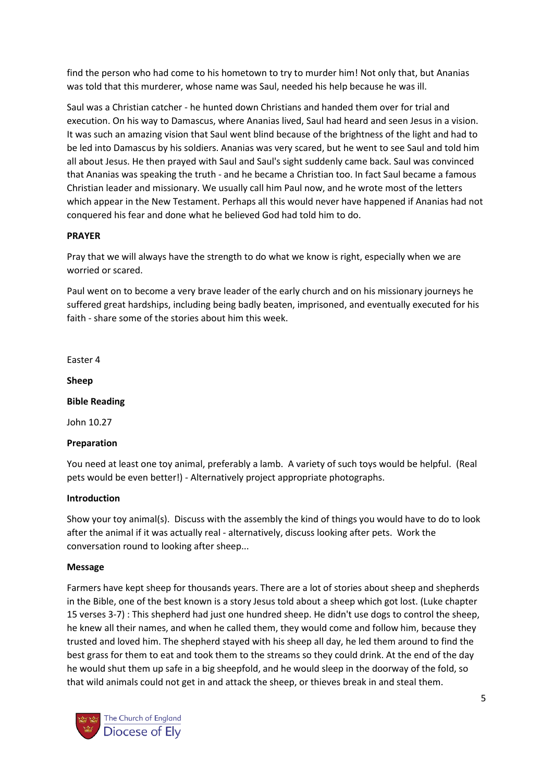find the person who had come to his hometown to try to murder him! Not only that, but Ananias was told that this murderer, whose name was Saul, needed his help because he was ill.

Saul was a Christian catcher - he hunted down Christians and handed them over for trial and execution. On his way to Damascus, where Ananias lived, Saul had heard and seen Jesus in a vision. It was such an amazing vision that Saul went blind because of the brightness of the light and had to be led into Damascus by his soldiers. Ananias was very scared, but he went to see Saul and told him all about Jesus. He then prayed with Saul and Saul's sight suddenly came back. Saul was convinced that Ananias was speaking the truth - and he became a Christian too. In fact Saul became a famous Christian leader and missionary. We usually call him Paul now, and he wrote most of the letters which appear in the New Testament. Perhaps all this would never have happened if Ananias had not conquered his fear and done what he believed God had told him to do.

# **PRAYER**

Pray that we will always have the strength to do what we know is right, especially when we are worried or scared.

Paul went on to become a very brave leader of the early church and on his missionary journeys he suffered great hardships, including being badly beaten, imprisoned, and eventually executed for his faith - share some of the stories about him this week.

Easter 4

**Sheep**

**Bible Reading**

John 10.27

# **Preparation**

You need at least one toy animal, preferably a lamb. A variety of such toys would be helpful. (Real pets would be even better!) - Alternatively project appropriate photographs.

## **Introduction**

Show your toy animal(s). Discuss with the assembly the kind of things you would have to do to look after the animal if it was actually real - alternatively, discuss looking after pets. Work the conversation round to looking after sheep...

## **Message**

Farmers have kept sheep for thousands years. There are a lot of stories about sheep and shepherds in the Bible, one of the best known is a story Jesus told about a sheep which got lost. (Luke chapter 15 verses 3-7) : This shepherd had just one hundred sheep. He didn't use dogs to control the sheep, he knew all their names, and when he called them, they would come and follow him, because they trusted and loved him. The shepherd stayed with his sheep all day, he led them around to find the best grass for them to eat and took them to the streams so they could drink. At the end of the day he would shut them up safe in a big sheepfold, and he would sleep in the doorway of the fold, so that wild animals could not get in and attack the sheep, or thieves break in and steal them.

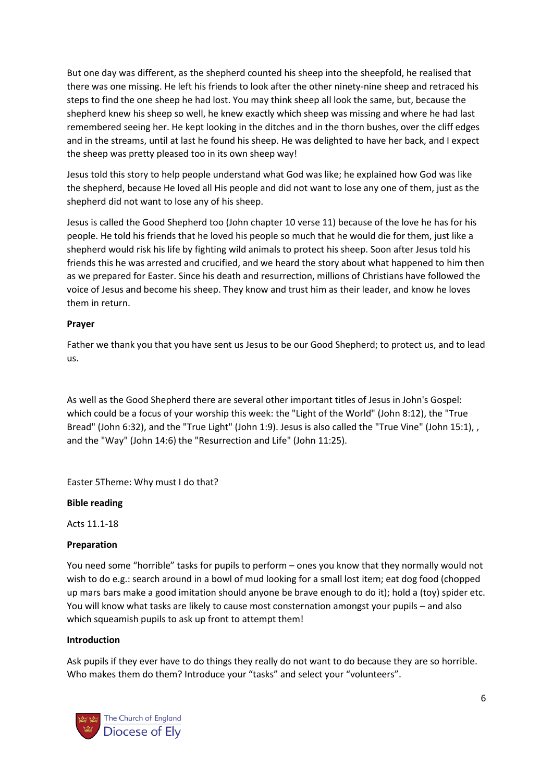But one day was different, as the shepherd counted his sheep into the sheepfold, he realised that there was one missing. He left his friends to look after the other ninety-nine sheep and retraced his steps to find the one sheep he had lost. You may think sheep all look the same, but, because the shepherd knew his sheep so well, he knew exactly which sheep was missing and where he had last remembered seeing her. He kept looking in the ditches and in the thorn bushes, over the cliff edges and in the streams, until at last he found his sheep. He was delighted to have her back, and I expect the sheep was pretty pleased too in its own sheep way!

Jesus told this story to help people understand what God was like; he explained how God was like the shepherd, because He loved all His people and did not want to lose any one of them, just as the shepherd did not want to lose any of his sheep.

Jesus is called the Good Shepherd too (John chapter 10 verse 11) because of the love he has for his people. He told his friends that he loved his people so much that he would die for them, just like a shepherd would risk his life by fighting wild animals to protect his sheep. Soon after Jesus told his friends this he was arrested and crucified, and we heard the story about what happened to him then as we prepared for Easter. Since his death and resurrection, millions of Christians have followed the voice of Jesus and become his sheep. They know and trust him as their leader, and know he loves them in return.

## **Prayer**

Father we thank you that you have sent us Jesus to be our Good Shepherd; to protect us, and to lead us.

As well as the Good Shepherd there are several other important titles of Jesus in John's Gospel: which could be a focus of your worship this week: the "Light of the World" (John 8:12), the "True Bread" (John 6:32), and the "True Light" (John 1:9). Jesus is also called the "True Vine" (John 15:1), , and the "Way" (John 14:6) the "Resurrection and Life" (John 11:25).

Easter 5Theme: Why must I do that?

## **Bible reading**

Acts 11.1-18

## **Preparation**

You need some "horrible" tasks for pupils to perform – ones you know that they normally would not wish to do e.g.: search around in a bowl of mud looking for a small lost item; eat dog food (chopped up mars bars make a good imitation should anyone be brave enough to do it); hold a (toy) spider etc. You will know what tasks are likely to cause most consternation amongst your pupils – and also which squeamish pupils to ask up front to attempt them!

## **Introduction**

Ask pupils if they ever have to do things they really do not want to do because they are so horrible. Who makes them do them? Introduce your "tasks" and select your "volunteers".

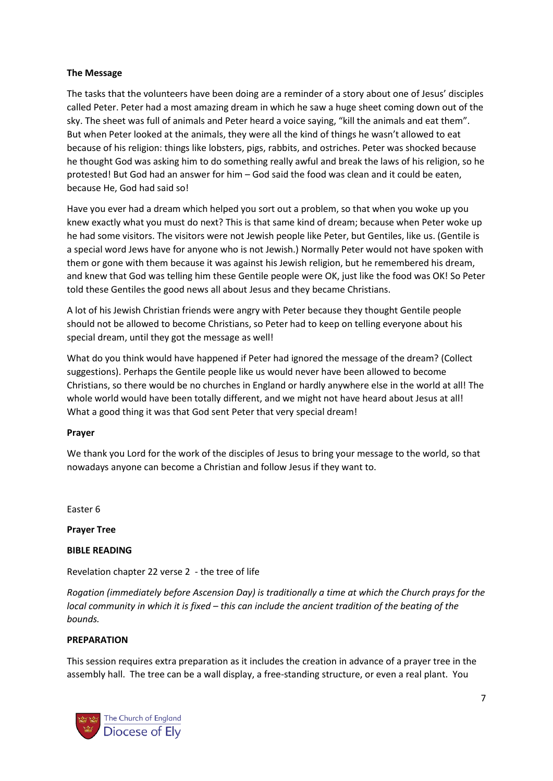## **The Message**

The tasks that the volunteers have been doing are a reminder of a story about one of Jesus' disciples called Peter. Peter had a most amazing dream in which he saw a huge sheet coming down out of the sky. The sheet was full of animals and Peter heard a voice saying, "kill the animals and eat them". But when Peter looked at the animals, they were all the kind of things he wasn't allowed to eat because of his religion: things like lobsters, pigs, rabbits, and ostriches. Peter was shocked because he thought God was asking him to do something really awful and break the laws of his religion, so he protested! But God had an answer for him – God said the food was clean and it could be eaten, because He, God had said so!

Have you ever had a dream which helped you sort out a problem, so that when you woke up you knew exactly what you must do next? This is that same kind of dream; because when Peter woke up he had some visitors. The visitors were not Jewish people like Peter, but Gentiles, like us. (Gentile is a special word Jews have for anyone who is not Jewish.) Normally Peter would not have spoken with them or gone with them because it was against his Jewish religion, but he remembered his dream, and knew that God was telling him these Gentile people were OK, just like the food was OK! So Peter told these Gentiles the good news all about Jesus and they became Christians.

A lot of his Jewish Christian friends were angry with Peter because they thought Gentile people should not be allowed to become Christians, so Peter had to keep on telling everyone about his special dream, until they got the message as well!

What do you think would have happened if Peter had ignored the message of the dream? (Collect suggestions). Perhaps the Gentile people like us would never have been allowed to become Christians, so there would be no churches in England or hardly anywhere else in the world at all! The whole world would have been totally different, and we might not have heard about Jesus at all! What a good thing it was that God sent Peter that very special dream!

## **Prayer**

We thank you Lord for the work of the disciples of Jesus to bring your message to the world, so that nowadays anyone can become a Christian and follow Jesus if they want to.

Easter 6

**Prayer Tree**

**BIBLE READING**

Revelation chapter 22 verse 2 - the tree of life

*Rogation (immediately before Ascension Day) is traditionally a time at which the Church prays for the local community in which it is fixed – this can include the ancient tradition of the beating of the bounds.*

## **PREPARATION**

This session requires extra preparation as it includes the creation in advance of a prayer tree in the assembly hall. The tree can be a wall display, a free-standing structure, or even a real plant. You

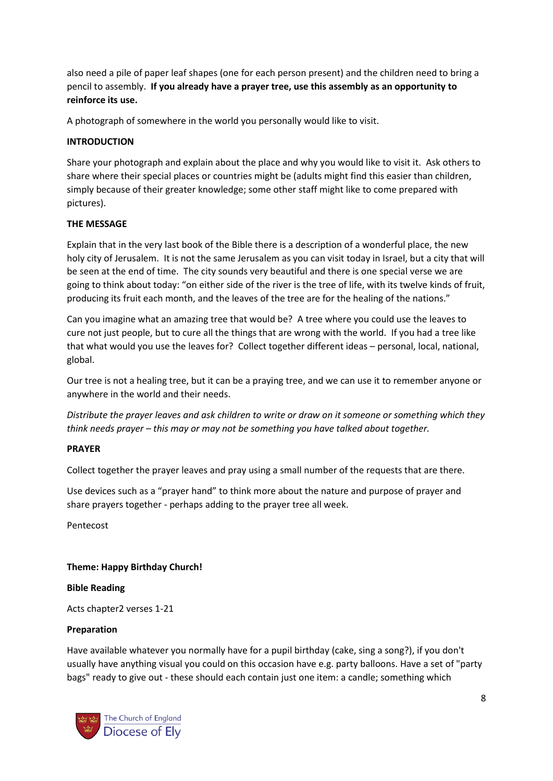also need a pile of paper leaf shapes (one for each person present) and the children need to bring a pencil to assembly. **If you already have a prayer tree, use this assembly as an opportunity to reinforce its use.**

A photograph of somewhere in the world you personally would like to visit.

## **INTRODUCTION**

Share your photograph and explain about the place and why you would like to visit it. Ask others to share where their special places or countries might be (adults might find this easier than children, simply because of their greater knowledge; some other staff might like to come prepared with pictures).

## **THE MESSAGE**

Explain that in the very last book of the Bible there is a description of a wonderful place, the new holy city of Jerusalem. It is not the same Jerusalem as you can visit today in Israel, but a city that will be seen at the end of time. The city sounds very beautiful and there is one special verse we are going to think about today: "on either side of the river is the tree of life, with its twelve kinds of fruit, producing its fruit each month, and the leaves of the tree are for the healing of the nations."

Can you imagine what an amazing tree that would be? A tree where you could use the leaves to cure not just people, but to cure all the things that are wrong with the world. If you had a tree like that what would you use the leaves for? Collect together different ideas – personal, local, national, global.

Our tree is not a healing tree, but it can be a praying tree, and we can use it to remember anyone or anywhere in the world and their needs.

*Distribute the prayer leaves and ask children to write or draw on it someone or something which they think needs prayer – this may or may not be something you have talked about together.*

## **PRAYER**

Collect together the prayer leaves and pray using a small number of the requests that are there.

Use devices such as a "prayer hand" to think more about the nature and purpose of prayer and share prayers together - perhaps adding to the prayer tree all week.

Pentecost

## **Theme: Happy Birthday Church!**

## **Bible Reading**

Acts chapter2 verses 1-21

## **Preparation**

Have available whatever you normally have for a pupil birthday (cake, sing a song?), if you don't usually have anything visual you could on this occasion have e.g. party balloons. Have a set of "party bags" ready to give out - these should each contain just one item: a candle; something which

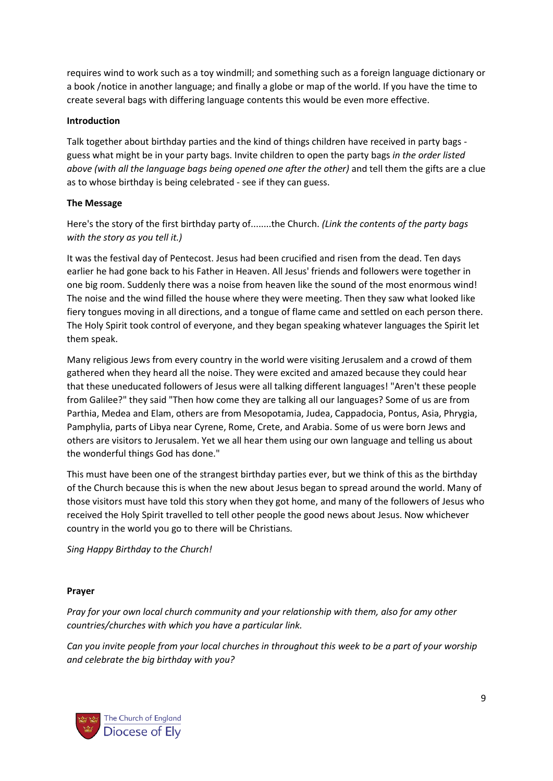requires wind to work such as a toy windmill; and something such as a foreign language dictionary or a book /notice in another language; and finally a globe or map of the world. If you have the time to create several bags with differing language contents this would be even more effective.

## **Introduction**

Talk together about birthday parties and the kind of things children have received in party bags guess what might be in your party bags. Invite children to open the party bags *in the order listed above (with all the language bags being opened one after the other)* and tell them the gifts are a clue as to whose birthday is being celebrated - see if they can guess.

# **The Message**

Here's the story of the first birthday party of........the Church. *(Link the contents of the party bags with the story as you tell it.)*

It was the festival day of Pentecost. Jesus had been crucified and risen from the dead. Ten days earlier he had gone back to his Father in Heaven. All Jesus' friends and followers were together in one big room. Suddenly there was a noise from heaven like the sound of the most enormous wind! The noise and the wind filled the house where they were meeting. Then they saw what looked like fiery tongues moving in all directions, and a tongue of flame came and settled on each person there. The Holy Spirit took control of everyone, and they began speaking whatever languages the Spirit let them speak.

Many religious Jews from every country in the world were visiting Jerusalem and a crowd of them gathered when they heard all the noise. They were excited and amazed because they could hear that these uneducated followers of Jesus were all talking different languages! "Aren't these people from Galilee?" they said "Then how come they are talking all our languages? Some of us are from Parthia, Medea and Elam, others are from Mesopotamia, Judea, Cappadocia, Pontus, Asia, Phrygia, Pamphylia, parts of Libya near Cyrene, Rome, Crete, and Arabia. Some of us were born Jews and others are visitors to Jerusalem. Yet we all hear them using our own language and telling us about the wonderful things God has done."

This must have been one of the strangest birthday parties ever, but we think of this as the birthday of the Church because this is when the new about Jesus began to spread around the world. Many of those visitors must have told this story when they got home, and many of the followers of Jesus who received the Holy Spirit travelled to tell other people the good news about Jesus. Now whichever country in the world you go to there will be Christians.

*Sing Happy Birthday to the Church!*

# **Prayer**

*Pray for your own local church community and your relationship with them, also for amy other countries/churches with which you have a particular link.*

*Can you invite people from your local churches in throughout this week to be a part of your worship and celebrate the big birthday with you?*

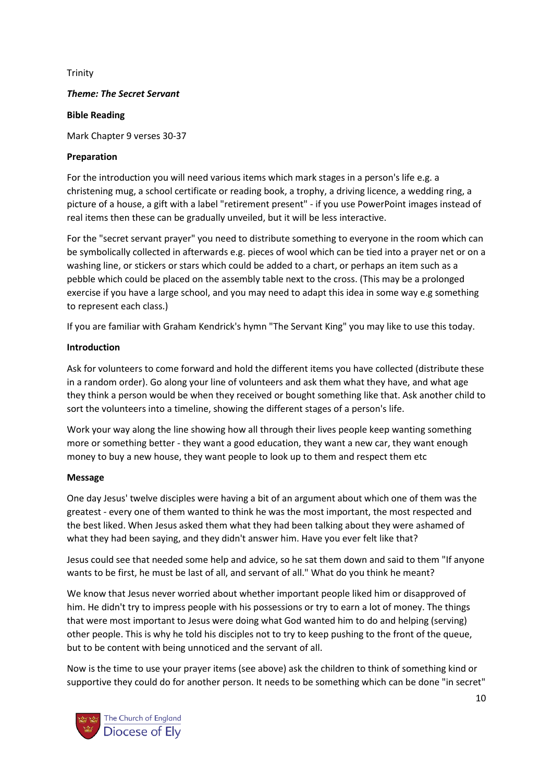## Trinity

## *Theme: The Secret Servant*

## **Bible Reading**

Mark Chapter 9 verses 30-37

## **Preparation**

For the introduction you will need various items which mark stages in a person's life e.g. a christening mug, a school certificate or reading book, a trophy, a driving licence, a wedding ring, a picture of a house, a gift with a label "retirement present" - if you use PowerPoint images instead of real items then these can be gradually unveiled, but it will be less interactive.

For the "secret servant prayer" you need to distribute something to everyone in the room which can be symbolically collected in afterwards e.g. pieces of wool which can be tied into a prayer net or on a washing line, or stickers or stars which could be added to a chart, or perhaps an item such as a pebble which could be placed on the assembly table next to the cross. (This may be a prolonged exercise if you have a large school, and you may need to adapt this idea in some way e.g something to represent each class.)

If you are familiar with Graham Kendrick's hymn "The Servant King" you may like to use this today.

## **Introduction**

Ask for volunteers to come forward and hold the different items you have collected (distribute these in a random order). Go along your line of volunteers and ask them what they have, and what age they think a person would be when they received or bought something like that. Ask another child to sort the volunteers into a timeline, showing the different stages of a person's life.

Work your way along the line showing how all through their lives people keep wanting something more or something better - they want a good education, they want a new car, they want enough money to buy a new house, they want people to look up to them and respect them etc

## **Message**

One day Jesus' twelve disciples were having a bit of an argument about which one of them was the greatest - every one of them wanted to think he was the most important, the most respected and the best liked. When Jesus asked them what they had been talking about they were ashamed of what they had been saying, and they didn't answer him. Have you ever felt like that?

Jesus could see that needed some help and advice, so he sat them down and said to them "If anyone wants to be first, he must be last of all, and servant of all." What do you think he meant?

We know that Jesus never worried about whether important people liked him or disapproved of him. He didn't try to impress people with his possessions or try to earn a lot of money. The things that were most important to Jesus were doing what God wanted him to do and helping (serving) other people. This is why he told his disciples not to try to keep pushing to the front of the queue, but to be content with being unnoticed and the servant of all.

Now is the time to use your prayer items (see above) ask the children to think of something kind or supportive they could do for another person. It needs to be something which can be done "in secret"

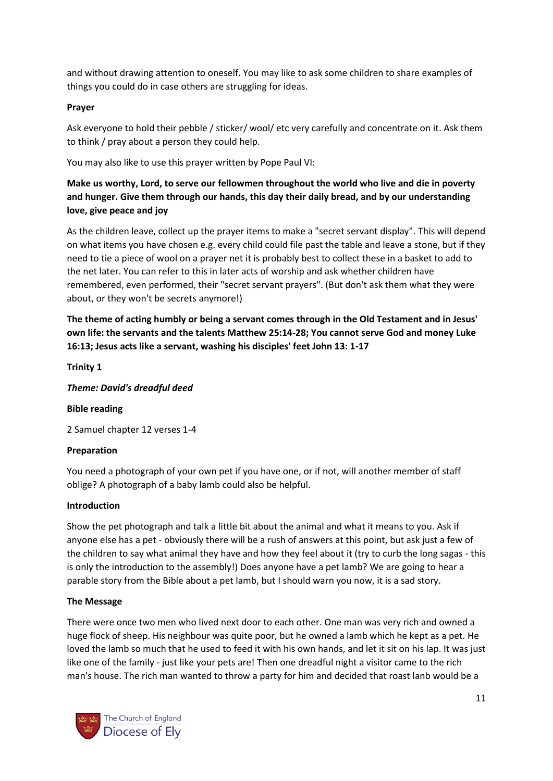and without drawing attention to oneself. You may like to ask some children to share examples of things you could do in case others are struggling for ideas.

# **Prayer**

Ask everyone to hold their pebble / sticker/ wool/ etc very carefully and concentrate on it. Ask them to think / pray about a person they could help.

You may also like to use this prayer written by Pope Paul VI:

# **Make us worthy, Lord, to serve our fellowmen throughout the world who live and die in poverty and hunger. Give them through our hands, this day their daily bread, and by our understanding love, give peace and joy**

As the children leave, collect up the prayer items to make a "secret servant display". This will depend on what items you have chosen e.g. every child could file past the table and leave a stone, but if they need to tie a piece of wool on a prayer net it is probably best to collect these in a basket to add to the net later. You can refer to this in later acts of worship and ask whether children have remembered, even performed, their "secret servant prayers". (But don't ask them what they were about, or they won't be secrets anymore!)

**The theme of acting humbly or being a servant comes through in the Old Testament and in Jesus' own life: the servants and the talents Matthew 25:14-28; You cannot serve God and money Luke 16:13; Jesus acts like a servant, washing his disciples' feet John 13: 1-17**

# **Trinity 1**

*Theme: David's dreadful deed*

# **Bible reading**

2 Samuel chapter 12 verses 1-4

# **Preparation**

You need a photograph of your own pet if you have one, or if not, will another member of staff oblige? A photograph of a baby lamb could also be helpful.

## **Introduction**

Show the pet photograph and talk a little bit about the animal and what it means to you. Ask if anyone else has a pet - obviously there will be a rush of answers at this point, but ask just a few of the children to say what animal they have and how they feel about it (try to curb the long sagas - this is only the introduction to the assembly!) Does anyone have a pet lamb? We are going to hear a parable story from the Bible about a pet lamb, but I should warn you now, it is a sad story.

## **The Message**

There were once two men who lived next door to each other. One man was very rich and owned a huge flock of sheep. His neighbour was quite poor, but he owned a lamb which he kept as a pet. He loved the lamb so much that he used to feed it with his own hands, and let it sit on his lap. It was just like one of the family - just like your pets are! Then one dreadful night a visitor came to the rich man's house. The rich man wanted to throw a party for him and decided that roast lanb would be a

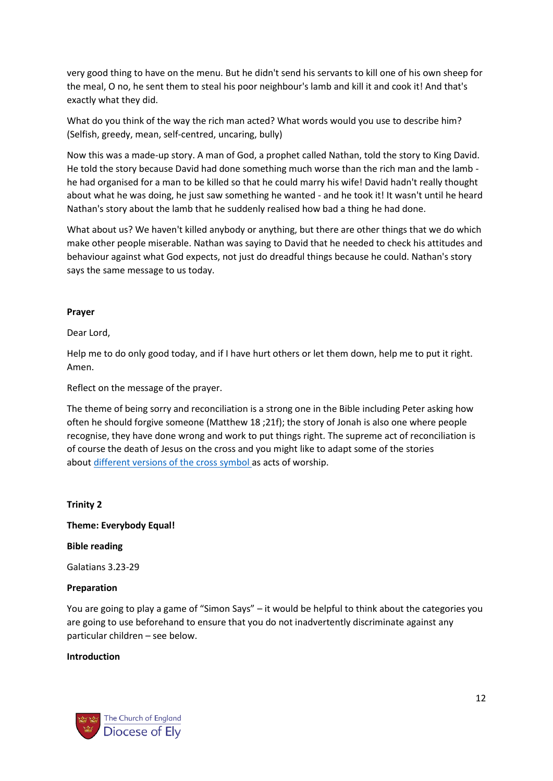very good thing to have on the menu. But he didn't send his servants to kill one of his own sheep for the meal, O no, he sent them to steal his poor neighbour's lamb and kill it and cook it! And that's exactly what they did.

What do you think of the way the rich man acted? What words would you use to describe him? (Selfish, greedy, mean, self-centred, uncaring, bully)

Now this was a made-up story. A man of God, a prophet called Nathan, told the story to King David. He told the story because David had done something much worse than the rich man and the lamb he had organised for a man to be killed so that he could marry his wife! David hadn't really thought about what he was doing, he just saw something he wanted - and he took it! It wasn't until he heard Nathan's story about the lamb that he suddenly realised how bad a thing he had done.

What about us? We haven't killed anybody or anything, but there are other things that we do which make other people miserable. Nathan was saying to David that he needed to check his attitudes and behaviour against what God expects, not just do dreadful things because he could. Nathan's story says the same message to us today.

## **Prayer**

Dear Lord,

Help me to do only good today, and if I have hurt others or let them down, help me to put it right. Amen.

Reflect on the message of the prayer.

The theme of being sorry and reconciliation is a strong one in the Bible including Peter asking how often he should forgive someone (Matthew 18 ;21f); the story of Jonah is also one where people recognise, they have done wrong and work to put things right. The supreme act of reconciliation is of course the death of Jesus on the cross and you might like to adapt some of the stories about [different versions of the cross symbol](http://www.barnabasinschools.org.uk/find/a-cross+the%20world/ideas/1) as acts of worship.

## **Trinity 2**

**Theme: Everybody Equal!**

**Bible reading**

Galatians 3.23-29

## **Preparation**

You are going to play a game of "Simon Says" – it would be helpful to think about the categories you are going to use beforehand to ensure that you do not inadvertently discriminate against any particular children – see below.

## **Introduction**

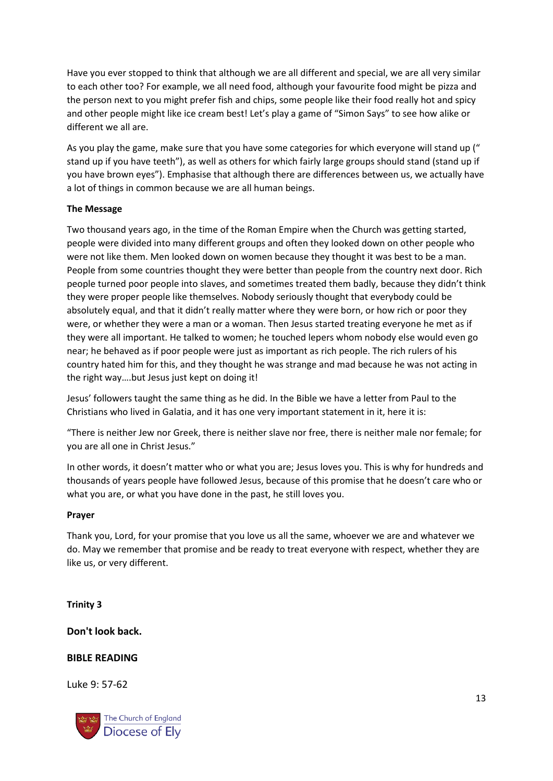Have you ever stopped to think that although we are all different and special, we are all very similar to each other too? For example, we all need food, although your favourite food might be pizza and the person next to you might prefer fish and chips, some people like their food really hot and spicy and other people might like ice cream best! Let's play a game of "Simon Says" to see how alike or different we all are.

As you play the game, make sure that you have some categories for which everyone will stand up (" stand up if you have teeth"), as well as others for which fairly large groups should stand (stand up if you have brown eyes"). Emphasise that although there are differences between us, we actually have a lot of things in common because we are all human beings.

# **The Message**

Two thousand years ago, in the time of the Roman Empire when the Church was getting started, people were divided into many different groups and often they looked down on other people who were not like them. Men looked down on women because they thought it was best to be a man. People from some countries thought they were better than people from the country next door. Rich people turned poor people into slaves, and sometimes treated them badly, because they didn't think they were proper people like themselves. Nobody seriously thought that everybody could be absolutely equal, and that it didn't really matter where they were born, or how rich or poor they were, or whether they were a man or a woman. Then Jesus started treating everyone he met as if they were all important. He talked to women; he touched lepers whom nobody else would even go near; he behaved as if poor people were just as important as rich people. The rich rulers of his country hated him for this, and they thought he was strange and mad because he was not acting in the right way….but Jesus just kept on doing it!

Jesus' followers taught the same thing as he did. In the Bible we have a letter from Paul to the Christians who lived in Galatia, and it has one very important statement in it, here it is:

"There is neither Jew nor Greek, there is neither slave nor free, there is neither male nor female; for you are all one in Christ Jesus."

In other words, it doesn't matter who or what you are; Jesus loves you. This is why for hundreds and thousands of years people have followed Jesus, because of this promise that he doesn't care who or what you are, or what you have done in the past, he still loves you.

## **Prayer**

Thank you, Lord, for your promise that you love us all the same, whoever we are and whatever we do. May we remember that promise and be ready to treat everyone with respect, whether they are like us, or very different.

# **Trinity 3**

**Don't look back.**

# **BIBLE READING**

Luke 9: 57-62

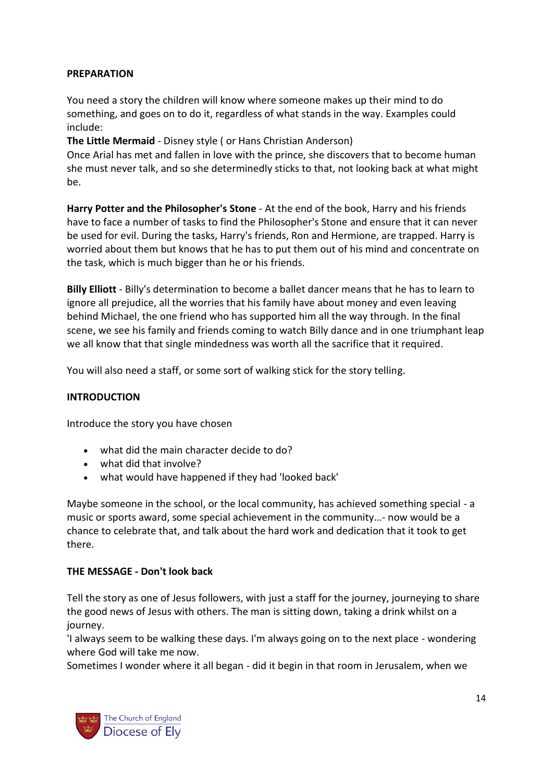# **PREPARATION**

You need a story the children will know where someone makes up their mind to do something, and goes on to do it, regardless of what stands in the way. Examples could include:

**The Little Mermaid** - Disney style ( or Hans Christian Anderson)

Once Arial has met and fallen in love with the prince, she discovers that to become human she must never talk, and so she determinedly sticks to that, not looking back at what might be.

**Harry Potter and the Philosopher's Stone** - At the end of the book, Harry and his friends have to face a number of tasks to find the Philosopher's Stone and ensure that it can never be used for evil. During the tasks, Harry's friends, Ron and Hermione, are trapped. Harry is worried about them but knows that he has to put them out of his mind and concentrate on the task, which is much bigger than he or his friends.

**Billy Elliott** - Billy's determination to become a ballet dancer means that he has to learn to ignore all prejudice, all the worries that his family have about money and even leaving behind Michael, the one friend who has supported him all the way through. In the final scene, we see his family and friends coming to watch Billy dance and in one triumphant leap we all know that that single mindedness was worth all the sacrifice that it required.

You will also need a staff, or some sort of walking stick for the story telling.

# **INTRODUCTION**

Introduce the story you have chosen

- what did the main character decide to do?
- what did that involve?
- what would have happened if they had 'looked back'

Maybe someone in the school, or the local community, has achieved something special - a music or sports award, some special achievement in the community…- now would be a chance to celebrate that, and talk about the hard work and dedication that it took to get there.

# **THE MESSAGE** *-* **Don't look back**

Tell the story as one of Jesus followers, with just a staff for the journey, journeying to share the good news of Jesus with others. The man is sitting down, taking a drink whilst on a journey.

'I always seem to be walking these days. I'm always going on to the next place - wondering where God will take me now.

Sometimes I wonder where it all began - did it begin in that room in Jerusalem, when we

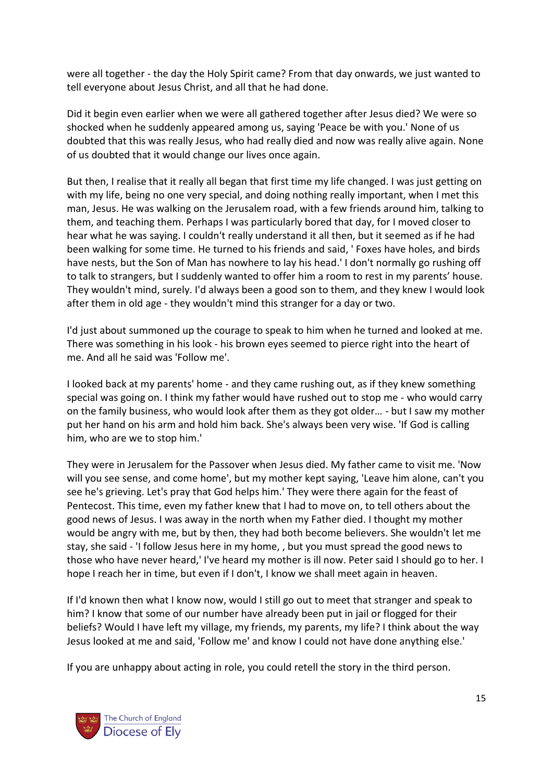were all together - the day the Holy Spirit came? From that day onwards, we just wanted to tell everyone about Jesus Christ, and all that he had done.

Did it begin even earlier when we were all gathered together after Jesus died? We were so shocked when he suddenly appeared among us, saying 'Peace be with you.' None of us doubted that this was really Jesus, who had really died and now was really alive again. None of us doubted that it would change our lives once again.

But then, I realise that it really all began that first time my life changed. I was just getting on with my life, being no one very special, and doing nothing really important, when I met this man, Jesus. He was walking on the Jerusalem road, with a few friends around him, talking to them, and teaching them. Perhaps I was particularly bored that day, for I moved closer to hear what he was saying. I couldn't really understand it all then, but it seemed as if he had been walking for some time. He turned to his friends and said, ' Foxes have holes, and birds have nests, but the Son of Man has nowhere to lay his head.' I don't normally go rushing off to talk to strangers, but I suddenly wanted to offer him a room to rest in my parents' house. They wouldn't mind, surely. I'd always been a good son to them, and they knew I would look after them in old age - they wouldn't mind this stranger for a day or two.

I'd just about summoned up the courage to speak to him when he turned and looked at me. There was something in his look - his brown eyes seemed to pierce right into the heart of me. And all he said was 'Follow me'.

I looked back at my parents' home - and they came rushing out, as if they knew something special was going on. I think my father would have rushed out to stop me - who would carry on the family business, who would look after them as they got older… - but I saw my mother put her hand on his arm and hold him back. She's always been very wise. 'If God is calling him, who are we to stop him.'

They were in Jerusalem for the Passover when Jesus died. My father came to visit me. 'Now will you see sense, and come home', but my mother kept saying, 'Leave him alone, can't you see he's grieving. Let's pray that God helps him.' They were there again for the feast of Pentecost. This time, even my father knew that I had to move on, to tell others about the good news of Jesus. I was away in the north when my Father died. I thought my mother would be angry with me, but by then, they had both become believers. She wouldn't let me stay, she said - 'I follow Jesus here in my home, , but you must spread the good news to those who have never heard,' I've heard my mother is ill now. Peter said I should go to her. I hope I reach her in time, but even if I don't, I know we shall meet again in heaven.

If I'd known then what I know now, would I still go out to meet that stranger and speak to him? I know that some of our number have already been put in jail or flogged for their beliefs? Would I have left my village, my friends, my parents, my life? I think about the way Jesus looked at me and said, 'Follow me' and know I could not have done anything else.'

If you are unhappy about acting in role, you could retell the story in the third person.

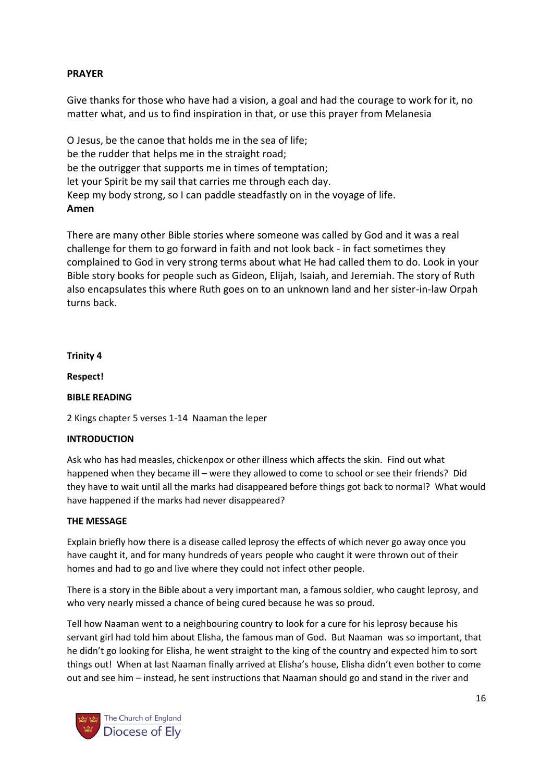# **PRAYER**

Give thanks for those who have had a vision, a goal and had the courage to work for it, no matter what, and us to find inspiration in that, or use this prayer from Melanesia

O Jesus, be the canoe that holds me in the sea of life; be the rudder that helps me in the straight road; be the outrigger that supports me in times of temptation; let your Spirit be my sail that carries me through each day. Keep my body strong, so I can paddle steadfastly on in the voyage of life. **Amen**

There are many other Bible stories where someone was called by God and it was a real challenge for them to go forward in faith and not look back - in fact sometimes they complained to God in very strong terms about what He had called them to do. Look in your Bible story books for people such as Gideon, Elijah, Isaiah, and Jeremiah. The story of Ruth also encapsulates this where Ruth goes on to an unknown land and her sister-in-law Orpah turns back.

## **Trinity 4**

**Respect!**

# **BIBLE READING**

2 Kings chapter 5 verses 1-14 Naaman the leper

## **INTRODUCTION**

Ask who has had measles, chickenpox or other illness which affects the skin. Find out what happened when they became ill – were they allowed to come to school or see their friends? Did they have to wait until all the marks had disappeared before things got back to normal? What would have happened if the marks had never disappeared?

## **THE MESSAGE**

Explain briefly how there is a disease called leprosy the effects of which never go away once you have caught it, and for many hundreds of years people who caught it were thrown out of their homes and had to go and live where they could not infect other people.

There is a story in the Bible about a very important man, a famous soldier, who caught leprosy, and who very nearly missed a chance of being cured because he was so proud.

Tell how Naaman went to a neighbouring country to look for a cure for his leprosy because his servant girl had told him about Elisha, the famous man of God. But Naaman was so important, that he didn't go looking for Elisha, he went straight to the king of the country and expected him to sort things out! When at last Naaman finally arrived at Elisha's house, Elisha didn't even bother to come out and see him – instead, he sent instructions that Naaman should go and stand in the river and